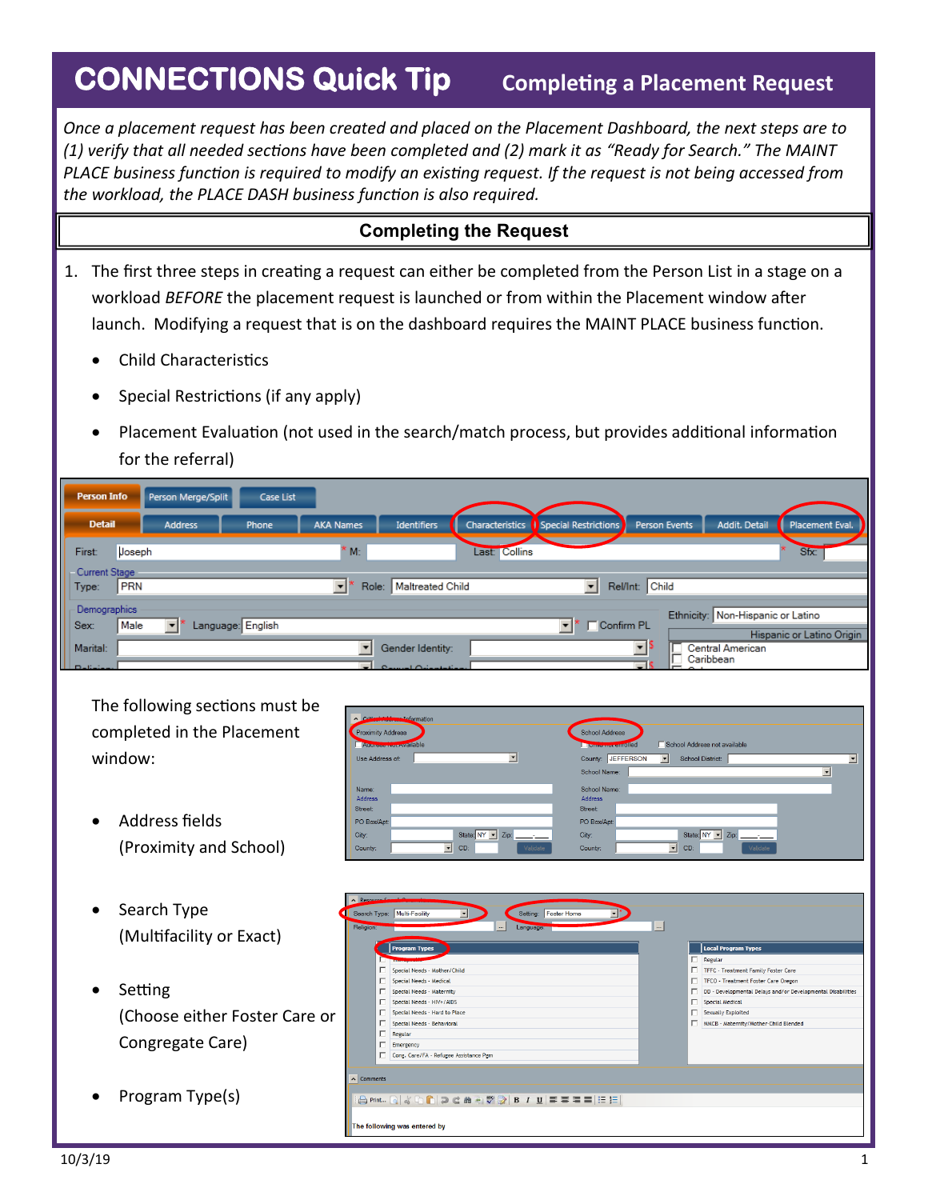## **CONNECTIONS Quick Tip**

*Once a placement request has been created and placed on the Placement Dashboard, the next steps are to (1) verify that all needed sections have been completed and (2) mark it as "Ready for Search." The MAINT PLACE business function is required to modify an existing request. If the request is not being accessed from the workload, the PLACE DASH business function is also required.* 

## **Completing the Request**

- 1. The first three steps in creating a request can either be completed from the Person List in a stage on a workload *BEFORE* the placement request is launched or from within the Placement window after launch. Modifying a request that is on the dashboard requires the MAINT PLACE business function.
	- Child Characteristics
	- Special Restrictions (if any apply)
	- Placement Evaluation (not used in the search/match process, but provides additional information for the referral)

| <b>Person Info</b>          |            | Person Merge/Split             | Case List         |                                   |                                              |                 |                          |               |                                   |                           |
|-----------------------------|------------|--------------------------------|-------------------|-----------------------------------|----------------------------------------------|-----------------|--------------------------|---------------|-----------------------------------|---------------------------|
| <b>Detail</b>               |            | <b>Address</b>                 | Phone             | <b>AKA Names</b>                  | Identifiers                                  | Characteristics | Special Restrictions     | Person Events | Addit. Detail                     | Placement Eval.           |
| First:<br>Current Stage     | Joseph     |                                |                   | $M_{\odot}$                       |                                              | Last: Collins   |                          |               |                                   | Sfx:                      |
| Type:                       | <b>PRN</b> |                                |                   | $\overline{\phantom{a}}$<br>Role: | Maltreated Child                             |                 | $\mathbf{r}$<br>Rel/Int: | Child         |                                   |                           |
| Demographics<br>Sex:        | Male       | $\mathbf{r}$                   | Language: English |                                   |                                              |                 | <b>Confirm PL</b>        |               | Ethnicity: Non-Hispanic or Latino | Hispanic or Latino Origin |
| Marital:<br>$\Box$ Definite |            |                                |                   | $\equiv$                          | Gender Identity:<br>$\sim$<br>فطعوناها الدبر |                 |                          | $\mathbf{r}$  | Central American<br>Caribbean     |                           |
|                             |            | The following sections must be |                   |                                   |                                              |                 |                          |               |                                   |                           |

The following sections must be completed in the Placement window:

- Address fields (Proximity and School)
- Search Type (Multifacility or Exact)
- **Setting** (Choose either Foster Ca Congregate Care)
- Program Type(s)

| de Addresse Information<br>A               |                                                              |                          |
|--------------------------------------------|--------------------------------------------------------------|--------------------------|
| <b>Proximity Address</b>                   | <b>School Address</b>                                        |                          |
| Attention and waveler to ble               | School Address not available<br><b>United from entrolled</b> |                          |
| Use Address of:<br>▼                       | County: JEFFERSON<br>$\vert \cdot \vert$<br>School District: | $\blacksquare$           |
|                                            | School Name:                                                 | $\overline{\phantom{a}}$ |
| Name:                                      | School Name:                                                 |                          |
| Address                                    | Address                                                      |                          |
| Street:                                    | Street:                                                      |                          |
| PO Box/Apt:                                | PO Box/Apt:                                                  |                          |
| State: NY v Zip:<br>City:                  | State: NY -<br>Zip:<br>City:                                 |                          |
| CD:<br>Validate<br>$\mathbf{r}$<br>County: | $\blacktriangledown$<br>CD:<br>Validate<br>County:           |                          |

|        | A Resource Committee                                                                                                                                                                                                                                                                                |                                                                                                                                                                                                                                                                                     |
|--------|-----------------------------------------------------------------------------------------------------------------------------------------------------------------------------------------------------------------------------------------------------------------------------------------------------|-------------------------------------------------------------------------------------------------------------------------------------------------------------------------------------------------------------------------------------------------------------------------------------|
|        | Setting: Foster Home<br>Search Type: Multi-Facility<br>$\blacktriangledown$<br>Religion:<br>Language:<br>$\cdots$                                                                                                                                                                                   | $\mathbf{m}$                                                                                                                                                                                                                                                                        |
| ıre or | <b>Program Types</b><br>г<br>Special Needs - Mother/Child<br>Special Needs - Medical<br>Special Needs - Maternity<br>Special Needs - HIV+/AIDS<br>г<br>Special Needs - Hard to Place<br>Special Needs - Behavioral<br>г<br>Regular<br>г<br>Emergency<br>г<br>Cong. Care/FA - Refugee Assistance Pgm | <b>Local Program Types</b><br>п<br>Regular<br>TFFC - Treatment Family Foster Care<br>TFCO - Treatment Foster Care Oregon<br>DD - Developmental Delays and/or Developmental Disabilities<br>п<br>Special Medical<br>г<br>Sexually Exploited<br>MWCB - Maternity/Mother-Child Blended |
|        | $\wedge$ Comments<br>A Print… Q & D C D C & H V 2 B / U E E E E E E E<br>The following was entered by                                                                                                                                                                                               |                                                                                                                                                                                                                                                                                     |